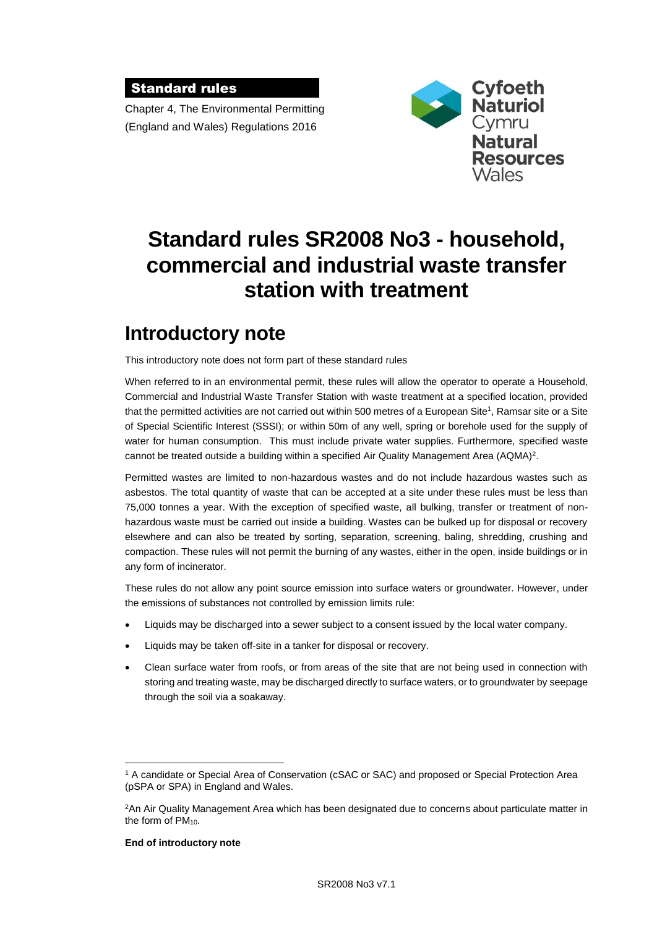#### Standard rules

Chapter 4, The Environmental Permitting (England and Wales) Regulations 2016



# **Standard rules SR2008 No3 - household, commercial and industrial waste transfer station with treatment**

# **Introductory note**

This introductory note does not form part of these standard rules

When referred to in an environmental permit, these rules will allow the operator to operate a Household, Commercial and Industrial Waste Transfer Station with waste treatment at a specified location, provided that the permitted activities are not carried out within 500 metres of a European Site<sup>1</sup>, Ramsar site or a Site of Special Scientific Interest (SSSI); or within 50m of any well, spring or borehole used for the supply of water for human consumption. This must include private water supplies. Furthermore, specified waste cannot be treated outside a building within a specified Air Quality Management Area (AQMA)<sup>2</sup>.

Permitted wastes are limited to non-hazardous wastes and do not include hazardous wastes such as asbestos. The total quantity of waste that can be accepted at a site under these rules must be less than 75,000 tonnes a year. With the exception of specified waste, all bulking, transfer or treatment of nonhazardous waste must be carried out inside a building. Wastes can be bulked up for disposal or recovery elsewhere and can also be treated by sorting, separation, screening, baling, shredding, crushing and compaction. These rules will not permit the burning of any wastes, either in the open, inside buildings or in any form of incinerator.

These rules do not allow any point source emission into surface waters or groundwater. However, under the emissions of substances not controlled by emission limits rule:

- Liquids may be discharged into a sewer subject to a consent issued by the local water company.
- Liquids may be taken off-site in a tanker for disposal or recovery.
- Clean surface water from roofs, or from areas of the site that are not being used in connection with storing and treating waste, may be discharged directly to surface waters, or to groundwater by seepage through the soil via a soakaway.

#### **End of introductory note**

 $\overline{a}$ 

<sup>1</sup> A candidate or Special Area of Conservation (cSAC or SAC) and proposed or Special Protection Area (pSPA or SPA) in England and Wales.

<sup>2</sup>An Air Quality Management Area which has been designated due to concerns about particulate matter in the form of PM<sub>10</sub>.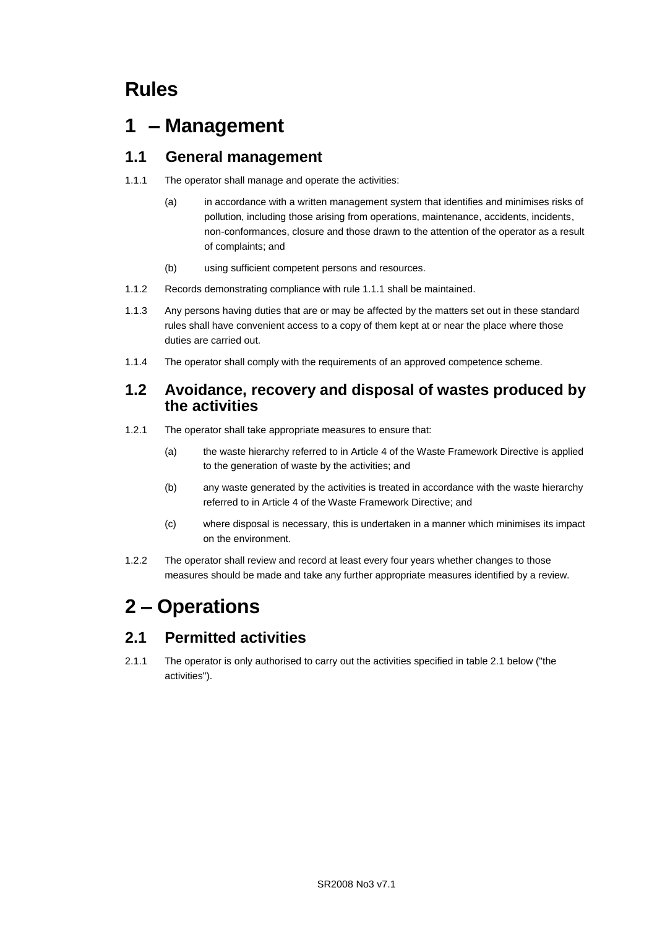# **Rules**

# **1 – Management**

## **1.1 General management**

- 1.1.1 The operator shall manage and operate the activities:
	- (a) in accordance with a written management system that identifies and minimises risks of pollution, including those arising from operations, maintenance, accidents, incidents, non-conformances, closure and those drawn to the attention of the operator as a result of complaints; and
	- (b) using sufficient competent persons and resources.
- 1.1.2 Records demonstrating compliance with rule 1.1.1 shall be maintained.
- 1.1.3 Any persons having duties that are or may be affected by the matters set out in these standard rules shall have convenient access to a copy of them kept at or near the place where those duties are carried out.
- 1.1.4 The operator shall comply with the requirements of an approved competence scheme.

### **1.2 Avoidance, recovery and disposal of wastes produced by the activities**

- 1.2.1 The operator shall take appropriate measures to ensure that:
	- (a) the waste hierarchy referred to in Article 4 of the Waste Framework Directive is applied to the generation of waste by the activities; and
	- (b) any waste generated by the activities is treated in accordance with the waste hierarchy referred to in Article 4 of the Waste Framework Directive; and
	- (c) where disposal is necessary, this is undertaken in a manner which minimises its impact on the environment.
- 1.2.2 The operator shall review and record at least every four years whether changes to those measures should be made and take any further appropriate measures identified by a review.

# **2 – Operations**

## **2.1 Permitted activities**

2.1.1 The operator is only authorised to carry out the activities specified in table 2.1 below ("the activities").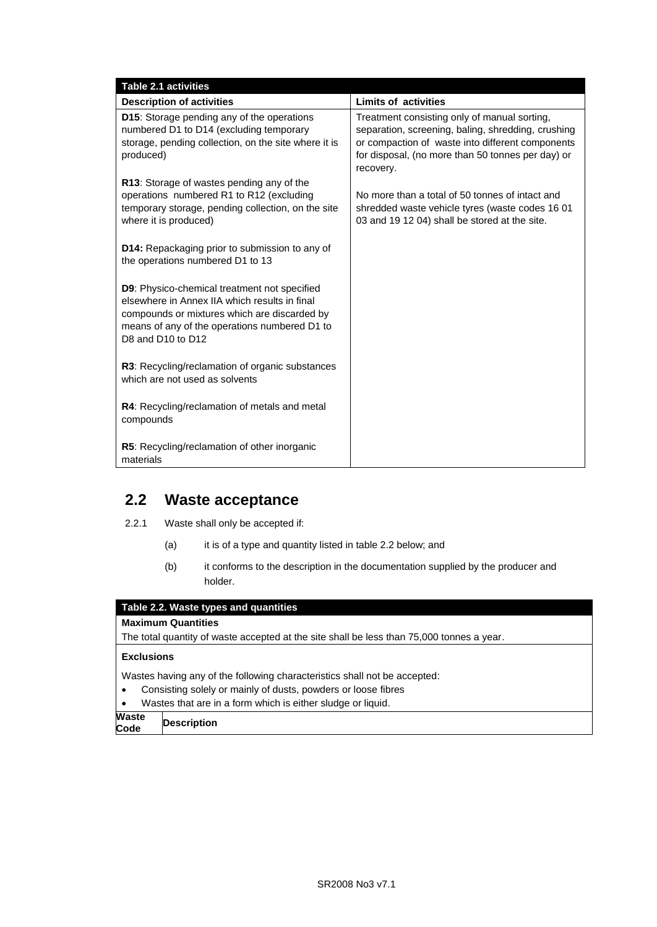| <b>Table 2.1 activities</b>                                                                                                                                                                                         |                                                                                                                                                                                                                          |
|---------------------------------------------------------------------------------------------------------------------------------------------------------------------------------------------------------------------|--------------------------------------------------------------------------------------------------------------------------------------------------------------------------------------------------------------------------|
| <b>Description of activities</b>                                                                                                                                                                                    | <b>Limits of activities</b>                                                                                                                                                                                              |
| D15: Storage pending any of the operations<br>numbered D1 to D14 (excluding temporary<br>storage, pending collection, on the site where it is<br>produced)                                                          | Treatment consisting only of manual sorting,<br>separation, screening, baling, shredding, crushing<br>or compaction of waste into different components<br>for disposal, (no more than 50 tonnes per day) or<br>recovery. |
| R13: Storage of wastes pending any of the<br>operations numbered R1 to R12 (excluding<br>temporary storage, pending collection, on the site<br>where it is produced)                                                | No more than a total of 50 tonnes of intact and<br>shredded waste vehicle tyres (waste codes 16 01<br>03 and 19 12 04) shall be stored at the site.                                                                      |
| D14: Repackaging prior to submission to any of<br>the operations numbered D1 to 13                                                                                                                                  |                                                                                                                                                                                                                          |
| D9: Physico-chemical treatment not specified<br>elsewhere in Annex IIA which results in final<br>compounds or mixtures which are discarded by<br>means of any of the operations numbered D1 to<br>D8 and D10 to D12 |                                                                                                                                                                                                                          |
| R3: Recycling/reclamation of organic substances<br>which are not used as solvents                                                                                                                                   |                                                                                                                                                                                                                          |
| R4: Recycling/reclamation of metals and metal<br>compounds                                                                                                                                                          |                                                                                                                                                                                                                          |
| R5: Recycling/reclamation of other inorganic<br>materials                                                                                                                                                           |                                                                                                                                                                                                                          |

### **2.2 Waste acceptance**

- 2.2.1 Waste shall only be accepted if:
	- (a) it is of a type and quantity listed in table 2.2 below; and
	- (b) it conforms to the description in the documentation supplied by the producer and holder.

#### **Table 2.2. Waste types and quantities**

#### **Maximum Quantities**

The total quantity of waste accepted at the site shall be less than 75,000 tonnes a year.

#### **Exclusions**

Wastes having any of the following characteristics shall not be accepted:

- Consisting solely or mainly of dusts, powders or loose fibres
- Wastes that are in a form which is either sludge or liquid.

**Waste Code Description**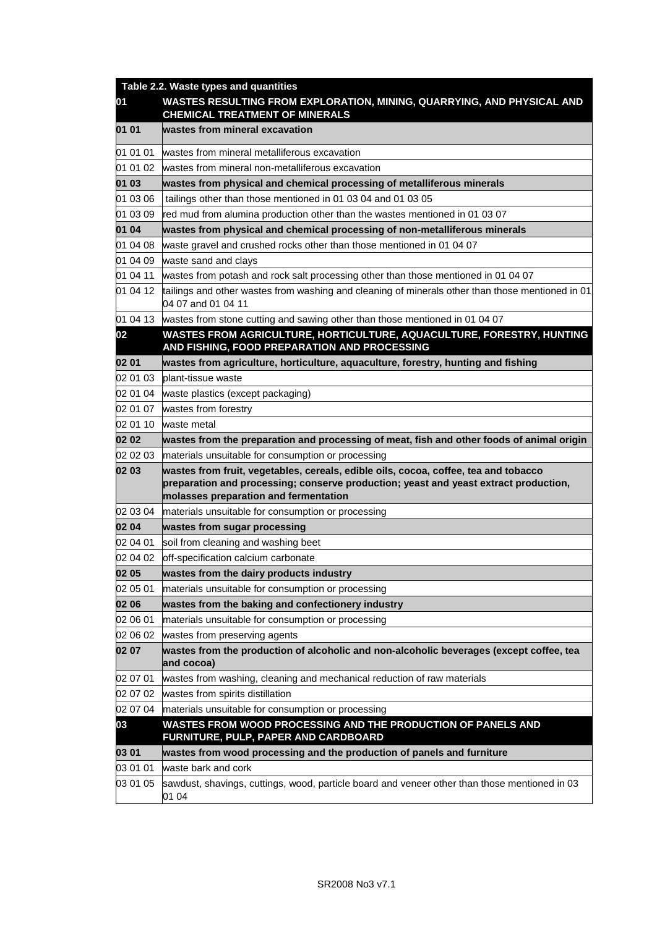|          | Table 2.2. Waste types and quantities                                                                                                                                                                                |
|----------|----------------------------------------------------------------------------------------------------------------------------------------------------------------------------------------------------------------------|
| 01       | WASTES RESULTING FROM EXPLORATION, MINING, QUARRYING, AND PHYSICAL AND<br><b>CHEMICAL TREATMENT OF MINERALS</b>                                                                                                      |
| 01 01    | wastes from mineral excavation                                                                                                                                                                                       |
| 01 01 01 | wastes from mineral metalliferous excavation                                                                                                                                                                         |
| 01 01 02 | wastes from mineral non-metalliferous excavation                                                                                                                                                                     |
| 01 03    | wastes from physical and chemical processing of metalliferous minerals                                                                                                                                               |
| 01 03 06 | tailings other than those mentioned in 01 03 04 and 01 03 05                                                                                                                                                         |
| 01 03 09 | red mud from alumina production other than the wastes mentioned in 01 03 07                                                                                                                                          |
| 01 04    | wastes from physical and chemical processing of non-metalliferous minerals                                                                                                                                           |
| 01 04 08 | waste gravel and crushed rocks other than those mentioned in 01 04 07                                                                                                                                                |
| 01 04 09 | waste sand and clays                                                                                                                                                                                                 |
| 01 04 11 | wastes from potash and rock salt processing other than those mentioned in 01 04 07                                                                                                                                   |
| 01 04 12 | tailings and other wastes from washing and cleaning of minerals other than those mentioned in 01<br>04 07 and 01 04 11                                                                                               |
|          | 01 04 13 wastes from stone cutting and sawing other than those mentioned in 01 04 07                                                                                                                                 |
| 02       | WASTES FROM AGRICULTURE, HORTICULTURE, AQUACULTURE, FORESTRY, HUNTING<br>AND FISHING, FOOD PREPARATION AND PROCESSING                                                                                                |
| 02 01    | wastes from agriculture, horticulture, aquaculture, forestry, hunting and fishing                                                                                                                                    |
| 02 01 03 | blant-tissue waste                                                                                                                                                                                                   |
| 02 01 04 | waste plastics (except packaging)                                                                                                                                                                                    |
| 02 01 07 | wastes from forestry                                                                                                                                                                                                 |
| 02 01 10 | waste metal                                                                                                                                                                                                          |
| 02 02    | wastes from the preparation and processing of meat, fish and other foods of animal origin                                                                                                                            |
| 02 02 03 | materials unsuitable for consumption or processing                                                                                                                                                                   |
| 02 03    | wastes from fruit, vegetables, cereals, edible oils, cocoa, coffee, tea and tobacco<br>preparation and processing; conserve production; yeast and yeast extract production,<br>molasses preparation and fermentation |
| 02 03 04 | materials unsuitable for consumption or processing                                                                                                                                                                   |
| 02 04    | wastes from sugar processing                                                                                                                                                                                         |
| 02 04 01 | soil from cleaning and washing beet                                                                                                                                                                                  |
| 02 04 02 | off-specification calcium carbonate                                                                                                                                                                                  |
| 02 05    | wastes from the dairy products industry                                                                                                                                                                              |
| 02 05 01 | materials unsuitable for consumption or processing                                                                                                                                                                   |
| 02 06    | wastes from the baking and confectionery industry                                                                                                                                                                    |
| 02 06 01 | materials unsuitable for consumption or processing                                                                                                                                                                   |
| 02 06 02 | wastes from preserving agents                                                                                                                                                                                        |
| 02 07    | wastes from the production of alcoholic and non-alcoholic beverages (except coffee, tea<br>and cocoa)                                                                                                                |
| 02 07 01 | wastes from washing, cleaning and mechanical reduction of raw materials                                                                                                                                              |
| 02 07 02 | wastes from spirits distillation                                                                                                                                                                                     |
| 02 07 04 | materials unsuitable for consumption or processing                                                                                                                                                                   |
| 03       | WASTES FROM WOOD PROCESSING AND THE PRODUCTION OF PANELS AND<br>FURNITURE, PULP, PAPER AND CARDBOARD                                                                                                                 |
| 03 01    | wastes from wood processing and the production of panels and furniture                                                                                                                                               |
| 03 01 01 | waste bark and cork                                                                                                                                                                                                  |
| 03 01 05 | sawdust, shavings, cuttings, wood, particle board and veneer other than those mentioned in 03<br>01 04                                                                                                               |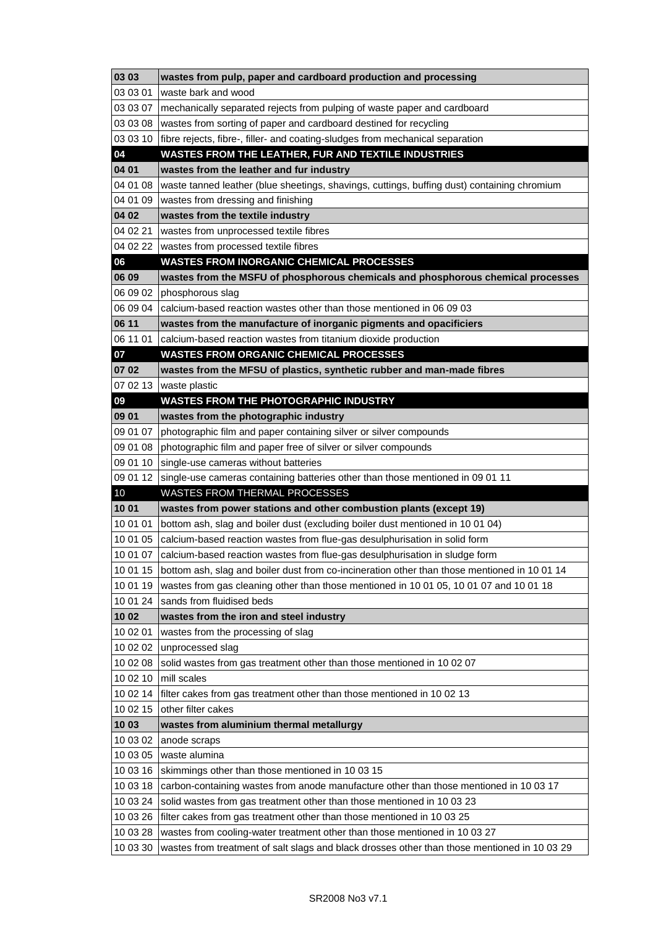| 03 03                            | wastes from pulp, paper and cardboard production and processing                                                                                                                                                                                      |
|----------------------------------|------------------------------------------------------------------------------------------------------------------------------------------------------------------------------------------------------------------------------------------------------|
| 03 03 01                         | waste bark and wood                                                                                                                                                                                                                                  |
| 03 03 07                         | mechanically separated rejects from pulping of waste paper and cardboard                                                                                                                                                                             |
| 03 03 08                         | wastes from sorting of paper and cardboard destined for recycling                                                                                                                                                                                    |
| 03 03 10                         | fibre rejects, fibre-, filler- and coating-sludges from mechanical separation                                                                                                                                                                        |
| 04                               | WASTES FROM THE LEATHER, FUR AND TEXTILE INDUSTRIES                                                                                                                                                                                                  |
| 04 01                            | wastes from the leather and fur industry                                                                                                                                                                                                             |
| 04 01 08                         | waste tanned leather (blue sheetings, shavings, cuttings, buffing dust) containing chromium                                                                                                                                                          |
| 04 01 09                         | wastes from dressing and finishing                                                                                                                                                                                                                   |
| 04 02                            | wastes from the textile industry                                                                                                                                                                                                                     |
| 04 02 21                         | wastes from unprocessed textile fibres                                                                                                                                                                                                               |
| 04 02 22                         | wastes from processed textile fibres                                                                                                                                                                                                                 |
| 06                               | <b>WASTES FROM INORGANIC CHEMICAL PROCESSES</b>                                                                                                                                                                                                      |
| 06 09                            | wastes from the MSFU of phosphorous chemicals and phosphorous chemical processes                                                                                                                                                                     |
| 06 09 02                         | phosphorous slag                                                                                                                                                                                                                                     |
| 06 09 04                         | calcium-based reaction wastes other than those mentioned in 06 09 03                                                                                                                                                                                 |
| 06 11                            | wastes from the manufacture of inorganic pigments and opacificiers                                                                                                                                                                                   |
| 06 11 01                         | calcium-based reaction wastes from titanium dioxide production                                                                                                                                                                                       |
| 07                               | <b>WASTES FROM ORGANIC CHEMICAL PROCESSES</b>                                                                                                                                                                                                        |
| 07 02                            | wastes from the MFSU of plastics, synthetic rubber and man-made fibres                                                                                                                                                                               |
|                                  | 07 02 13 waste plastic                                                                                                                                                                                                                               |
| 09                               | <b>WASTES FROM THE PHOTOGRAPHIC INDUSTRY</b>                                                                                                                                                                                                         |
| 09 01                            | wastes from the photographic industry                                                                                                                                                                                                                |
| 09 01 07                         | photographic film and paper containing silver or silver compounds                                                                                                                                                                                    |
| 09 01 08                         | photographic film and paper free of silver or silver compounds                                                                                                                                                                                       |
| 09 01 10                         | single-use cameras without batteries                                                                                                                                                                                                                 |
|                                  | 09 01 12 single-use cameras containing batteries other than those mentioned in 09 01 11                                                                                                                                                              |
| 10                               | WASTES FROM THERMAL PROCESSES                                                                                                                                                                                                                        |
| 10 01                            | wastes from power stations and other combustion plants (except 19)                                                                                                                                                                                   |
| 10 01 01                         | bottom ash, slag and boiler dust (excluding boiler dust mentioned in 10 01 04)                                                                                                                                                                       |
| 10 01 05                         | calcium-based reaction wastes from flue-gas desulphurisation in solid form                                                                                                                                                                           |
| 10 01 07                         | calcium-based reaction wastes from flue-gas desulphurisation in sludge form                                                                                                                                                                          |
| 10 01 15                         | bottom ash, slag and boiler dust from co-incineration other than those mentioned in 10 01 14                                                                                                                                                         |
| 10 01 19                         | wastes from gas cleaning other than those mentioned in 10 01 05, 10 01 07 and 10 01 18                                                                                                                                                               |
| 10 01 24                         | sands from fluidised beds                                                                                                                                                                                                                            |
| 10 02                            | wastes from the iron and steel industry                                                                                                                                                                                                              |
| 10 02 01                         | wastes from the processing of slag                                                                                                                                                                                                                   |
| 10 02 02                         | unprocessed slag                                                                                                                                                                                                                                     |
| 10 02 08                         | solid wastes from gas treatment other than those mentioned in 10 02 07                                                                                                                                                                               |
| 10 02 10                         | mill scales                                                                                                                                                                                                                                          |
| 10 02 14                         | filter cakes from gas treatment other than those mentioned in 10 02 13                                                                                                                                                                               |
| 10 02 15                         | other filter cakes                                                                                                                                                                                                                                   |
| 10 03                            | wastes from aluminium thermal metallurgy                                                                                                                                                                                                             |
| 10 03 02                         | anode scraps                                                                                                                                                                                                                                         |
| 10 03 05                         | waste alumina                                                                                                                                                                                                                                        |
| 10 03 16                         | skimmings other than those mentioned in 10 03 15                                                                                                                                                                                                     |
| 10 03 18                         | carbon-containing wastes from anode manufacture other than those mentioned in 10 03 17                                                                                                                                                               |
| 10 03 24                         | solid wastes from gas treatment other than those mentioned in 10 03 23                                                                                                                                                                               |
|                                  |                                                                                                                                                                                                                                                      |
|                                  |                                                                                                                                                                                                                                                      |
|                                  |                                                                                                                                                                                                                                                      |
| 10 03 26<br>10 03 28<br>10 03 30 | filter cakes from gas treatment other than those mentioned in 10 03 25<br>wastes from cooling-water treatment other than those mentioned in 10 03 27<br>wastes from treatment of salt slags and black drosses other than those mentioned in 10 03 29 |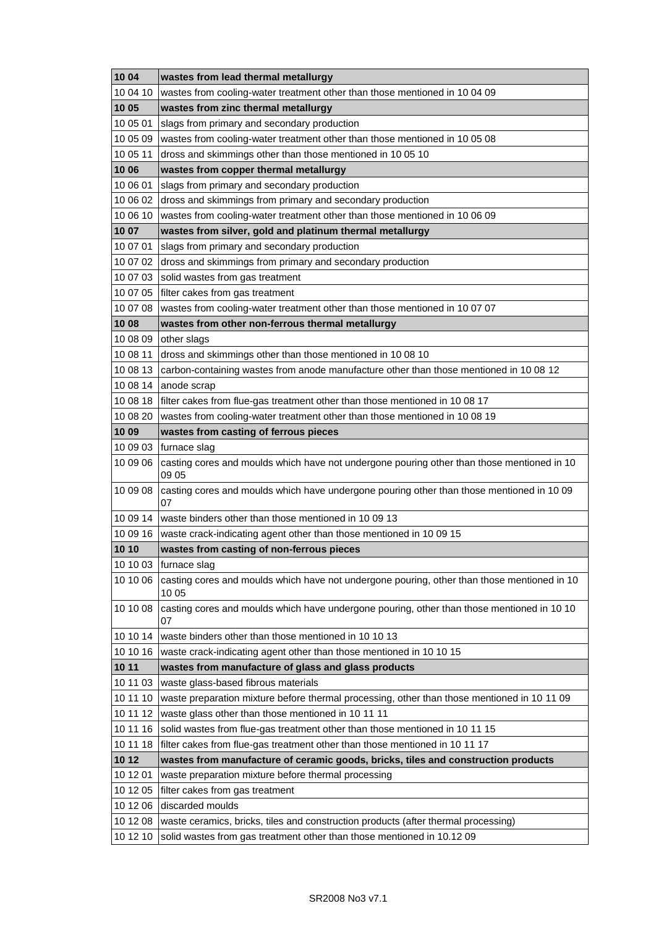| 1004     | wastes from lead thermal metallurgy                                                                  |
|----------|------------------------------------------------------------------------------------------------------|
| 10 04 10 | wastes from cooling-water treatment other than those mentioned in 10 04 09                           |
| 10 05    | wastes from zinc thermal metallurgy                                                                  |
| 10 05 01 | slags from primary and secondary production                                                          |
| 10 05 09 | wastes from cooling-water treatment other than those mentioned in 10 05 08                           |
| 10 05 11 | dross and skimmings other than those mentioned in 10 05 10                                           |
| 10 06    | wastes from copper thermal metallurgy                                                                |
| 10 06 01 | slags from primary and secondary production                                                          |
| 10 06 02 | dross and skimmings from primary and secondary production                                            |
| 10 06 10 | wastes from cooling-water treatment other than those mentioned in 10 06 09                           |
| 10 07    | wastes from silver, gold and platinum thermal metallurgy                                             |
| 10 07 01 | slags from primary and secondary production                                                          |
| 10 07 02 | dross and skimmings from primary and secondary production                                            |
| 10 07 03 | solid wastes from gas treatment                                                                      |
| 10 07 05 | filter cakes from gas treatment                                                                      |
| 10 07 08 | wastes from cooling-water treatment other than those mentioned in 10 07 07                           |
| 10 08    | wastes from other non-ferrous thermal metallurgy                                                     |
| 10 08 09 | other slags                                                                                          |
| 10 08 11 | dross and skimmings other than those mentioned in 1008 10                                            |
| 10 08 13 | carbon-containing wastes from anode manufacture other than those mentioned in 10 08 12               |
| 10 08 14 | anode scrap                                                                                          |
| 10 08 18 | filter cakes from flue-gas treatment other than those mentioned in 10 08 17                          |
| 10 08 20 | wastes from cooling-water treatment other than those mentioned in 10 08 19                           |
| 10 09    | wastes from casting of ferrous pieces                                                                |
| 10 09 03 | furnace slag                                                                                         |
| 10 09 06 | casting cores and moulds which have not undergone pouring other than those mentioned in 10           |
|          | 09 05                                                                                                |
| 10 09 08 | casting cores and moulds which have undergone pouring other than those mentioned in 10 09<br>07      |
| 10 09 14 | waste binders other than those mentioned in 10 09 13                                                 |
| 10 09 16 | waste crack-indicating agent other than those mentioned in 10 09 15                                  |
| 10 10    | wastes from casting of non-ferrous pieces                                                            |
|          | 10 10 03   furnace slag                                                                              |
| 10 10 06 | casting cores and moulds which have not undergone pouring, other than those mentioned in 10<br>10 05 |
| 10 10 08 | casting cores and moulds which have undergone pouring, other than those mentioned in 10 10<br>07     |
| 10 10 14 | waste binders other than those mentioned in 10 10 13                                                 |
| 10 10 16 | waste crack-indicating agent other than those mentioned in 10 10 15                                  |
| 10 11    | wastes from manufacture of glass and glass products                                                  |
| 10 11 03 | waste glass-based fibrous materials                                                                  |
| 10 11 10 | waste preparation mixture before thermal processing, other than those mentioned in 10 11 09          |
| 10 11 12 | waste glass other than those mentioned in 10 11 11                                                   |
| 10 11 16 | solid wastes from flue-gas treatment other than those mentioned in 10 11 15                          |
| 10 11 18 | filter cakes from flue-gas treatment other than those mentioned in 10 11 17                          |
| 10 12    | wastes from manufacture of ceramic goods, bricks, tiles and construction products                    |
| 10 12 01 | waste preparation mixture before thermal processing                                                  |
| 10 12 05 | filter cakes from gas treatment                                                                      |
| 10 12 06 | discarded moulds                                                                                     |
| 10 12 08 | waste ceramics, bricks, tiles and construction products (after thermal processing)                   |
| 10 12 10 | solid wastes from gas treatment other than those mentioned in 10.1209                                |
|          |                                                                                                      |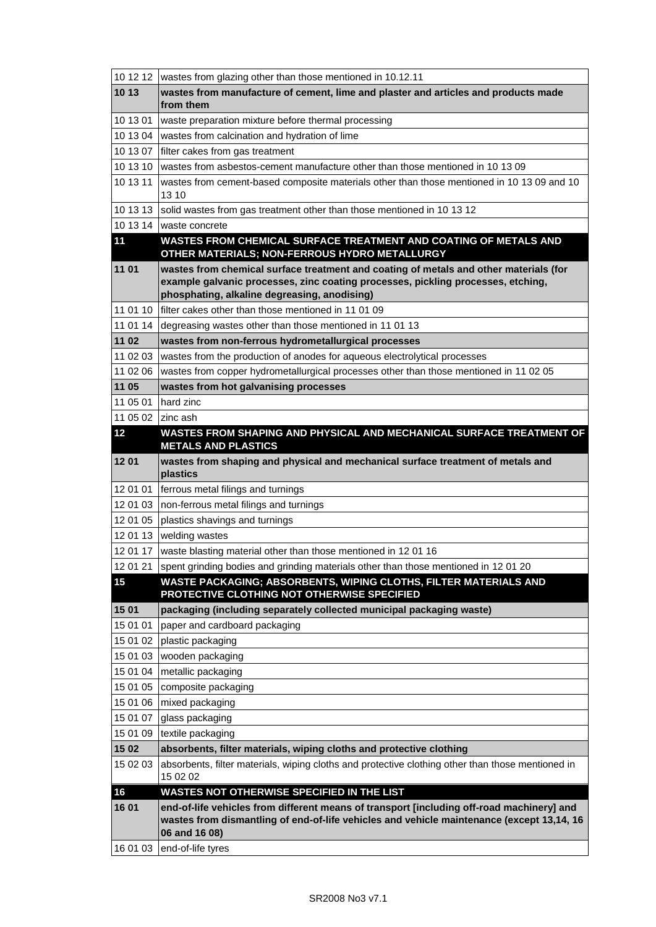| 10 12 12        | wastes from glazing other than those mentioned in 10.12.11                                                                                                                                              |
|-----------------|---------------------------------------------------------------------------------------------------------------------------------------------------------------------------------------------------------|
| 10 13           | wastes from manufacture of cement, lime and plaster and articles and products made<br>from them                                                                                                         |
| 10 13 01        | waste preparation mixture before thermal processing                                                                                                                                                     |
| 10 13 04        | wastes from calcination and hydration of lime                                                                                                                                                           |
| 10 13 07        | filter cakes from gas treatment                                                                                                                                                                         |
| 10 13 10        | wastes from asbestos-cement manufacture other than those mentioned in 10 13 09                                                                                                                          |
| 10 13 11        | wastes from cement-based composite materials other than those mentioned in 10 13 09 and 10<br>13 10                                                                                                     |
| 10 13 13        | solid wastes from gas treatment other than those mentioned in 10 13 12                                                                                                                                  |
| 10 13 14        | waste concrete                                                                                                                                                                                          |
| $\overline{11}$ | WASTES FROM CHEMICAL SURFACE TREATMENT AND COATING OF METALS AND<br>OTHER MATERIALS; NON-FERROUS HYDRO METALLURGY                                                                                       |
| 11 01           | wastes from chemical surface treatment and coating of metals and other materials (for                                                                                                                   |
|                 | example galvanic processes, zinc coating processes, pickling processes, etching,                                                                                                                        |
|                 | phosphating, alkaline degreasing, anodising)                                                                                                                                                            |
| 11 01 10        | filter cakes other than those mentioned in 11 01 09                                                                                                                                                     |
| 11 01 14        | degreasing wastes other than those mentioned in 11 01 13                                                                                                                                                |
| 11 02           | wastes from non-ferrous hydrometallurgical processes                                                                                                                                                    |
| 11 02 03        | wastes from the production of anodes for aqueous electrolytical processes                                                                                                                               |
| 11 02 06        | wastes from copper hydrometallurgical processes other than those mentioned in 11 02 05                                                                                                                  |
| 11 05           | wastes from hot galvanising processes                                                                                                                                                                   |
| 11 05 01        | hard zinc                                                                                                                                                                                               |
| 11 05 02        | Izinc ash                                                                                                                                                                                               |
| 12              | WASTES FROM SHAPING AND PHYSICAL AND MECHANICAL SURFACE TREATMENT OF<br><b>METALS AND PLASTICS</b>                                                                                                      |
| 1201            | wastes from shaping and physical and mechanical surface treatment of metals and<br>plastics                                                                                                             |
| 12 01 01        | ferrous metal filings and turnings                                                                                                                                                                      |
| 12 01 03        | non-ferrous metal filings and turnings                                                                                                                                                                  |
| 12 01 05        | plastics shavings and turnings                                                                                                                                                                          |
| 12 01 13        | welding wastes                                                                                                                                                                                          |
| 12 01 17        | waste blasting material other than those mentioned in 12 01 16                                                                                                                                          |
| 12 01 21        | spent grinding bodies and grinding materials other than those mentioned in 120120                                                                                                                       |
| 15              | WASTE PACKAGING; ABSORBENTS, WIPING CLOTHS, FILTER MATERIALS AND<br>PROTECTIVE CLOTHING NOT OTHERWISE SPECIFIED                                                                                         |
| 15 01           | packaging (including separately collected municipal packaging waste)                                                                                                                                    |
| 15 01 01        | paper and cardboard packaging                                                                                                                                                                           |
| 15 01 02        | plastic packaging                                                                                                                                                                                       |
| 15 01 03        | wooden packaging                                                                                                                                                                                        |
| 15 01 04        | metallic packaging                                                                                                                                                                                      |
| 15 01 05        | composite packaging                                                                                                                                                                                     |
| 15 01 06        | mixed packaging                                                                                                                                                                                         |
| 15 01 07        | glass packaging                                                                                                                                                                                         |
| 15 01 09        | textile packaging                                                                                                                                                                                       |
| 15 02           | absorbents, filter materials, wiping cloths and protective clothing                                                                                                                                     |
| 15 02 03        | absorbents, filter materials, wiping cloths and protective clothing other than those mentioned in<br>15 02 02                                                                                           |
| 16              | WASTES NOT OTHERWISE SPECIFIED IN THE LIST                                                                                                                                                              |
| 16 01           | end-of-life vehicles from different means of transport [including off-road machinery] and<br>wastes from dismantling of end-of-life vehicles and vehicle maintenance (except 13,14, 16<br>06 and 16 08) |
| 16 01 03        | end-of-life tyres                                                                                                                                                                                       |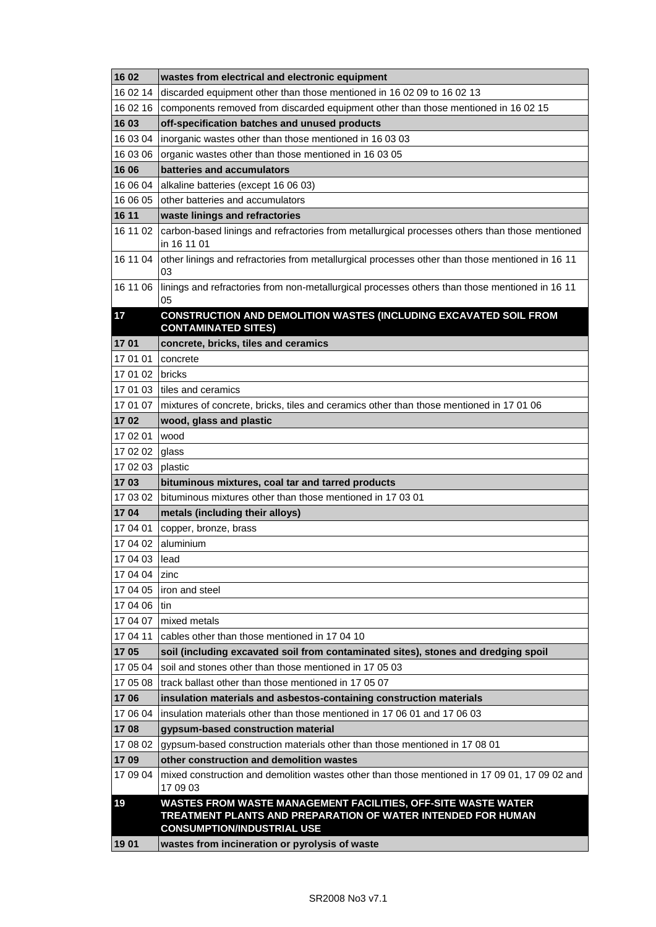| 16 02            | wastes from electrical and electronic equipment                                                                                                                    |
|------------------|--------------------------------------------------------------------------------------------------------------------------------------------------------------------|
| 16 02 14         | discarded equipment other than those mentioned in 16 02 09 to 16 02 13                                                                                             |
| 16 02 16         | components removed from discarded equipment other than those mentioned in 16 02 15                                                                                 |
| 16 03            | off-specification batches and unused products                                                                                                                      |
| 16 03 04         | inorganic wastes other than those mentioned in 16 03 03                                                                                                            |
| 16 03 06         | organic wastes other than those mentioned in 16 03 05                                                                                                              |
| 16 06            | batteries and accumulators                                                                                                                                         |
| 16 06 04         | alkaline batteries (except 16 06 03)                                                                                                                               |
| 16 06 05         | other batteries and accumulators                                                                                                                                   |
| 16 11            | waste linings and refractories                                                                                                                                     |
| 16 11 02         | carbon-based linings and refractories from metallurgical processes others than those mentioned<br>in 16 11 01                                                      |
| 16 11 04         | other linings and refractories from metallurgical processes other than those mentioned in 16 11<br>03                                                              |
| 16 11 06         | linings and refractories from non-metallurgical processes others than those mentioned in 16 11<br>05                                                               |
| 17               | <b>CONSTRUCTION AND DEMOLITION WASTES (INCLUDING EXCAVATED SOIL FROM</b><br><b>CONTAMINATED SITES)</b>                                                             |
| 1701             | concrete, bricks, tiles and ceramics                                                                                                                               |
| 17 01 01         | concrete                                                                                                                                                           |
| 17 01 02         | bricks                                                                                                                                                             |
| 17 01 03         | l tiles and ceramics                                                                                                                                               |
| 17 01 07         | mixtures of concrete, bricks, tiles and ceramics other than those mentioned in 17 01 06                                                                            |
| 1702             | wood, glass and plastic                                                                                                                                            |
| 17 02 01         | wood                                                                                                                                                               |
| 17 02 02         | glass                                                                                                                                                              |
| 17 02 03         | plastic                                                                                                                                                            |
| 1703             | bituminous mixtures, coal tar and tarred products                                                                                                                  |
| 17 03 02         | bituminous mixtures other than those mentioned in 17 03 01                                                                                                         |
| 1704             | metals (including their alloys)                                                                                                                                    |
| 17 04 01         | copper, bronze, brass                                                                                                                                              |
| 17 04 02         | aluminium                                                                                                                                                          |
| 17 04 03 lead    |                                                                                                                                                                    |
| 17 04 04         | zinc                                                                                                                                                               |
| 17 04 05         | liron and steel                                                                                                                                                    |
| 17 04 06         | ltin                                                                                                                                                               |
| 17 04 07         | mixed metals                                                                                                                                                       |
| 17 04 11         | cables other than those mentioned in 17 04 10                                                                                                                      |
| 1705             | soil (including excavated soil from contaminated sites), stones and dredging spoil                                                                                 |
| 17 05 04         | soil and stones other than those mentioned in 17 05 03                                                                                                             |
| 17 05 08         | track ballast other than those mentioned in 17 05 07                                                                                                               |
| 1706             | insulation materials and asbestos-containing construction materials                                                                                                |
| 17 06 04         | insulation materials other than those mentioned in 17 06 01 and 17 06 03                                                                                           |
| 1708             | gypsum-based construction material                                                                                                                                 |
| 17 08 02         | gypsum-based construction materials other than those mentioned in 17 08 01                                                                                         |
| 1709<br>17 09 04 | other construction and demolition wastes                                                                                                                           |
|                  | mixed construction and demolition wastes other than those mentioned in 17 09 01, 17 09 02 and<br>17 09 03                                                          |
| 19               | WASTES FROM WASTE MANAGEMENT FACILITIES, OFF-SITE WASTE WATER<br>TREATMENT PLANTS AND PREPARATION OF WATER INTENDED FOR HUMAN<br><b>CONSUMPTION/INDUSTRIAL USE</b> |
| 1901             | wastes from incineration or pyrolysis of waste                                                                                                                     |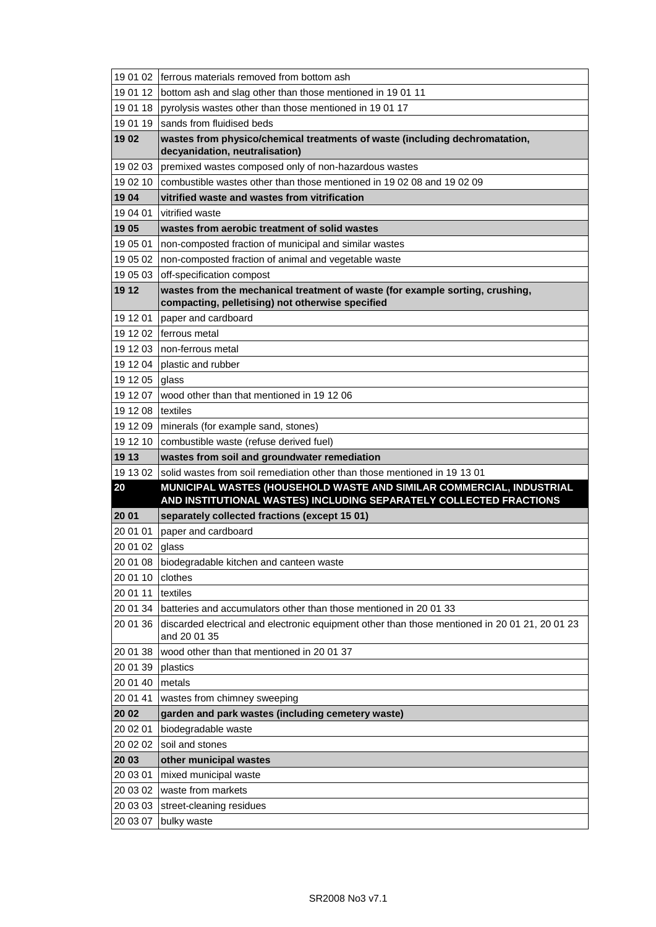|          | 19 01 02   ferrous materials removed from bottom ash                                                                                       |
|----------|--------------------------------------------------------------------------------------------------------------------------------------------|
| 19 01 12 | bottom ash and slag other than those mentioned in 19 01 11                                                                                 |
| 19 01 18 | pyrolysis wastes other than those mentioned in 1901 17                                                                                     |
| 19 01 19 | sands from fluidised beds                                                                                                                  |
| 1902     | wastes from physico/chemical treatments of waste (including dechromatation,<br>decyanidation, neutralisation)                              |
| 19 02 03 | premixed wastes composed only of non-hazardous wastes                                                                                      |
| 19 02 10 | combustible wastes other than those mentioned in 1902 08 and 1902 09                                                                       |
| 1904     | vitrified waste and wastes from vitrification                                                                                              |
| 19 04 01 | vitrified waste                                                                                                                            |
| 19 05    | wastes from aerobic treatment of solid wastes                                                                                              |
| 19 05 01 | non-composted fraction of municipal and similar wastes                                                                                     |
| 19 05 02 | non-composted fraction of animal and vegetable waste                                                                                       |
| 19 05 03 | off-specification compost                                                                                                                  |
| 19 12    | wastes from the mechanical treatment of waste (for example sorting, crushing,<br>compacting, pelletising) not otherwise specified          |
| 19 12 01 | paper and cardboard                                                                                                                        |
| 19 12 02 | Iferrous metal                                                                                                                             |
| 19 12 03 | non-ferrous metal                                                                                                                          |
| 19 12 04 | plastic and rubber                                                                                                                         |
| 19 12 05 | glass                                                                                                                                      |
| 19 12 07 | wood other than that mentioned in 19 12 06                                                                                                 |
| 19 12 08 | textiles                                                                                                                                   |
| 19 12 09 | minerals (for example sand, stones)                                                                                                        |
| 19 12 10 | combustible waste (refuse derived fuel)                                                                                                    |
|          |                                                                                                                                            |
| 19 13    | wastes from soil and groundwater remediation                                                                                               |
| 19 13 02 | solid wastes from soil remediation other than those mentioned in 19 13 01                                                                  |
| 20       | MUNICIPAL WASTES (HOUSEHOLD WASTE AND SIMILAR COMMERCIAL, INDUSTRIAL<br>AND INSTITUTIONAL WASTES) INCLUDING SEPARATELY COLLECTED FRACTIONS |
| 20 01    | separately collected fractions (except 15 01)                                                                                              |
| 20 01 01 | paper and cardboard                                                                                                                        |
| 20 01 02 | glass                                                                                                                                      |
|          | 20 01 08 biodegradable kitchen and canteen waste                                                                                           |
| 20 01 10 | clothes                                                                                                                                    |
| 20 01 11 | textiles                                                                                                                                   |
| 20 01 34 | batteries and accumulators other than those mentioned in 20 01 33                                                                          |
| 20 01 36 | discarded electrical and electronic equipment other than those mentioned in 20 01 21, 20 01 23<br>and 20 01 35                             |
| 20 01 38 | wood other than that mentioned in 20 01 37                                                                                                 |
| 20 01 39 | plastics                                                                                                                                   |
| 20 01 40 | metals                                                                                                                                     |
| 20 01 41 | wastes from chimney sweeping                                                                                                               |
| 20 02    | garden and park wastes (including cemetery waste)                                                                                          |
| 20 02 01 | biodegradable waste                                                                                                                        |
| 20 02 02 | soil and stones                                                                                                                            |
| 20 03    | other municipal wastes                                                                                                                     |
| 20 03 01 | mixed municipal waste                                                                                                                      |
| 20 03 02 | waste from markets                                                                                                                         |
| 20 03 03 | street-cleaning residues                                                                                                                   |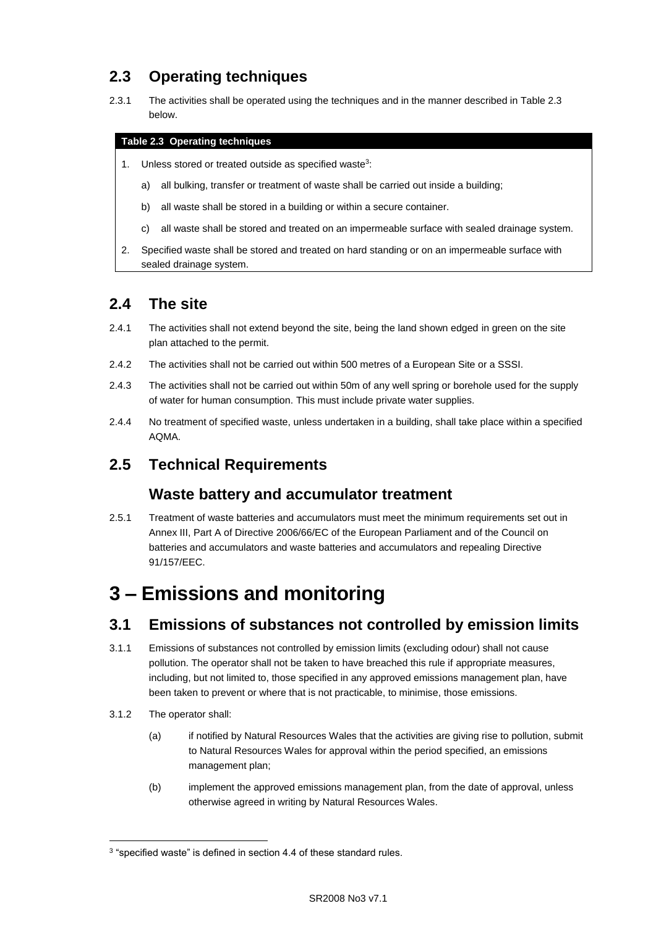# **2.3 Operating techniques**

2.3.1 The activities shall be operated using the techniques and in the manner described in Table 2.3 below.

#### **Table 2.3 Operating techniques**

- 1. Unless stored or treated outside as specified waste<sup>3</sup>:
	- a) all bulking, transfer or treatment of waste shall be carried out inside a building;
	- b) all waste shall be stored in a building or within a secure container.
	- c) all waste shall be stored and treated on an impermeable surface with sealed drainage system.
- 2. Specified waste shall be stored and treated on hard standing or on an impermeable surface with sealed drainage system.

### **2.4 The site**

- 2.4.1 The activities shall not extend beyond the site, being the land shown edged in green on the site plan attached to the permit.
- 2.4.2 The activities shall not be carried out within 500 metres of a European Site or a SSSI.
- 2.4.3 The activities shall not be carried out within 50m of any well spring or borehole used for the supply of water for human consumption. This must include private water supplies.
- 2.4.4 No treatment of specified waste, unless undertaken in a building, shall take place within a specified AQMA.

### **2.5 Technical Requirements**

#### **Waste battery and accumulator treatment**

2.5.1 Treatment of waste batteries and accumulators must meet the minimum requirements set out in Annex III, Part A of Directive 2006/66/EC of the European Parliament and of the Council on batteries and accumulators and waste batteries and accumulators and repealing Directive 91/157/EEC.

# **3 – Emissions and monitoring**

## **3.1 Emissions of substances not controlled by emission limits**

- 3.1.1 Emissions of substances not controlled by emission limits (excluding odour) shall not cause pollution. The operator shall not be taken to have breached this rule if appropriate measures, including, but not limited to, those specified in any approved emissions management plan, have been taken to prevent or where that is not practicable, to minimise, those emissions.
- 3.1.2 The operator shall:

 $\overline{a}$ 

- (a) if notified by Natural Resources Wales that the activities are giving rise to pollution, submit to Natural Resources Wales for approval within the period specified, an emissions management plan;
- (b) implement the approved emissions management plan, from the date of approval, unless otherwise agreed in writing by Natural Resources Wales.

<sup>&</sup>lt;sup>3</sup> "specified waste" is defined in section 4.4 of these standard rules.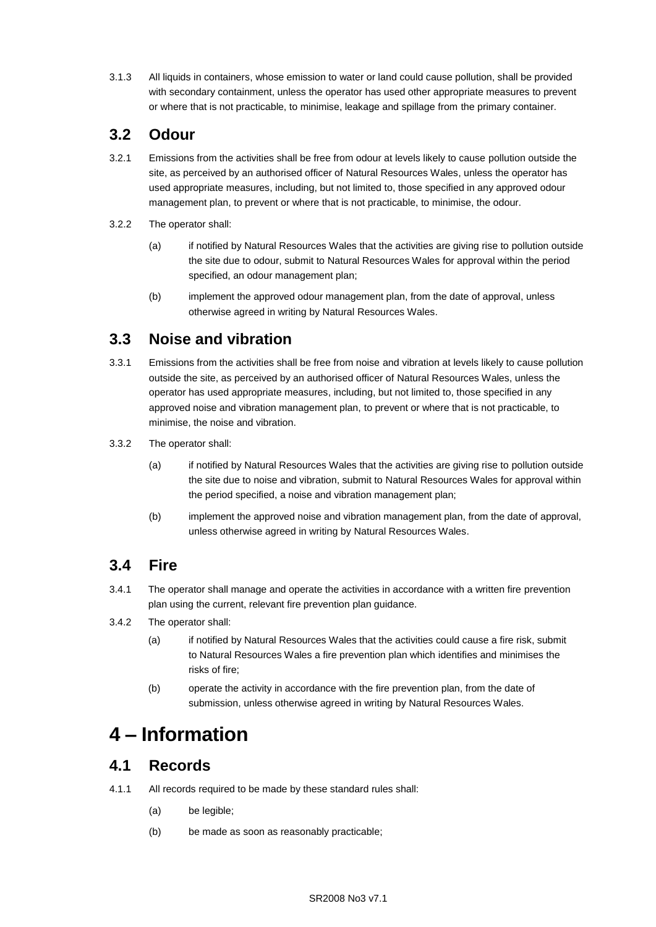3.1.3 All liquids in containers, whose emission to water or land could cause pollution, shall be provided with secondary containment, unless the operator has used other appropriate measures to prevent or where that is not practicable, to minimise, leakage and spillage from the primary container.

## **3.2 Odour**

- 3.2.1 Emissions from the activities shall be free from odour at levels likely to cause pollution outside the site, as perceived by an authorised officer of Natural Resources Wales, unless the operator has used appropriate measures, including, but not limited to, those specified in any approved odour management plan, to prevent or where that is not practicable, to minimise, the odour.
- 3.2.2 The operator shall:
	- (a) if notified by Natural Resources Wales that the activities are giving rise to pollution outside the site due to odour, submit to Natural Resources Wales for approval within the period specified, an odour management plan;
	- (b) implement the approved odour management plan, from the date of approval, unless otherwise agreed in writing by Natural Resources Wales.

## **3.3 Noise and vibration**

- 3.3.1 Emissions from the activities shall be free from noise and vibration at levels likely to cause pollution outside the site, as perceived by an authorised officer of Natural Resources Wales, unless the operator has used appropriate measures, including, but not limited to, those specified in any approved noise and vibration management plan, to prevent or where that is not practicable, to minimise, the noise and vibration.
- 3.3.2 The operator shall:
	- (a) if notified by Natural Resources Wales that the activities are giving rise to pollution outside the site due to noise and vibration, submit to Natural Resources Wales for approval within the period specified, a noise and vibration management plan;
	- (b) implement the approved noise and vibration management plan, from the date of approval, unless otherwise agreed in writing by Natural Resources Wales.

## **3.4 Fire**

- 3.4.1 The operator shall manage and operate the activities in accordance with a written fire prevention plan using the current, relevant fire prevention plan guidance.
- 3.4.2 The operator shall:
	- (a) if notified by Natural Resources Wales that the activities could cause a fire risk, submit to Natural Resources Wales a fire prevention plan which identifies and minimises the risks of fire;
	- (b) operate the activity in accordance with the fire prevention plan, from the date of submission, unless otherwise agreed in writing by Natural Resources Wales.

# **4 – Information**

### **4.1 Records**

- 4.1.1 All records required to be made by these standard rules shall:
	- (a) be legible;
	- (b) be made as soon as reasonably practicable;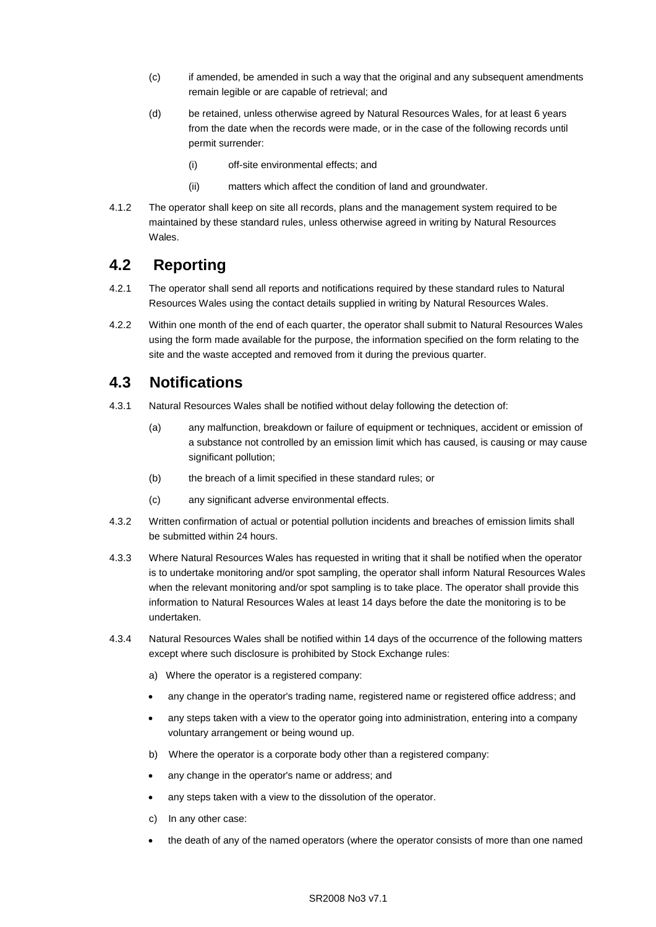- (c) if amended, be amended in such a way that the original and any subsequent amendments remain legible or are capable of retrieval; and
- (d) be retained, unless otherwise agreed by Natural Resources Wales, for at least 6 years from the date when the records were made, or in the case of the following records until permit surrender:
	- (i) off-site environmental effects; and
	- (ii) matters which affect the condition of land and groundwater.
- 4.1.2 The operator shall keep on site all records, plans and the management system required to be maintained by these standard rules, unless otherwise agreed in writing by Natural Resources Wales.

### **4.2 Reporting**

- 4.2.1 The operator shall send all reports and notifications required by these standard rules to Natural Resources Wales using the contact details supplied in writing by Natural Resources Wales.
- 4.2.2 Within one month of the end of each quarter, the operator shall submit to Natural Resources Wales using the form made available for the purpose, the information specified on the form relating to the site and the waste accepted and removed from it during the previous quarter.

### **4.3 Notifications**

- 4.3.1 Natural Resources Wales shall be notified without delay following the detection of:
	- (a) any malfunction, breakdown or failure of equipment or techniques, accident or emission of a substance not controlled by an emission limit which has caused, is causing or may cause significant pollution;
	- (b) the breach of a limit specified in these standard rules; or
	- (c) any significant adverse environmental effects.
- 4.3.2 Written confirmation of actual or potential pollution incidents and breaches of emission limits shall be submitted within 24 hours.
- 4.3.3 Where Natural Resources Wales has requested in writing that it shall be notified when the operator is to undertake monitoring and/or spot sampling, the operator shall inform Natural Resources Wales when the relevant monitoring and/or spot sampling is to take place. The operator shall provide this information to Natural Resources Wales at least 14 days before the date the monitoring is to be undertaken.
- 4.3.4 Natural Resources Wales shall be notified within 14 days of the occurrence of the following matters except where such disclosure is prohibited by Stock Exchange rules:
	- a) Where the operator is a registered company:
	- any change in the operator's trading name, registered name or registered office address; and
	- any steps taken with a view to the operator going into administration, entering into a company voluntary arrangement or being wound up.
	- b) Where the operator is a corporate body other than a registered company:
	- any change in the operator's name or address; and
	- any steps taken with a view to the dissolution of the operator.
	- c) In any other case:
	- the death of any of the named operators (where the operator consists of more than one named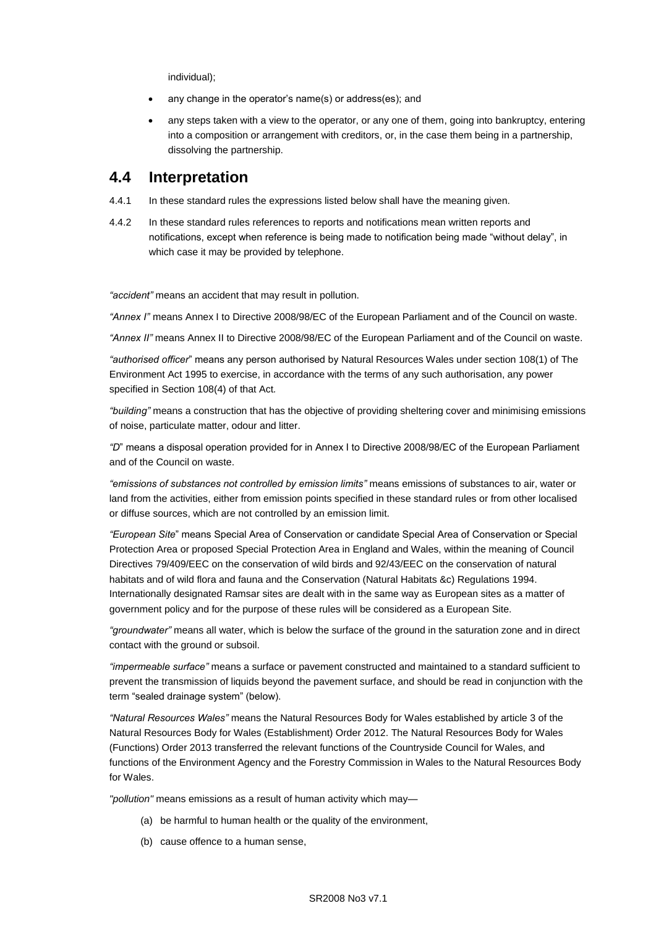individual);

- any change in the operator's name(s) or address(es); and
- any steps taken with a view to the operator, or any one of them, going into bankruptcy, entering into a composition or arrangement with creditors, or, in the case them being in a partnership, dissolving the partnership.

### **4.4 Interpretation**

- 4.4.1 In these standard rules the expressions listed below shall have the meaning given.
- 4.4.2 In these standard rules references to reports and notifications mean written reports and notifications, except when reference is being made to notification being made "without delay", in which case it may be provided by telephone.

*"accident"* means an accident that may result in pollution.

*"Annex I"* means Annex I to Directive 2008/98/EC of the European Parliament and of the Council on waste.

*"Annex II"* means Annex II to Directive 2008/98/EC of the European Parliament and of the Council on waste.

*"authorised officer*" means any person authorised by Natural Resources Wales under section 108(1) of The Environment Act 1995 to exercise, in accordance with the terms of any such authorisation, any power specified in Section 108(4) of that Act*.*

*"building"* means a construction that has the objective of providing sheltering cover and minimising emissions of noise, particulate matter, odour and litter.

*"D*" means a disposal operation provided for in Annex I to Directive 2008/98/EC of the European Parliament and of the Council on waste.

*"emissions of substances not controlled by emission limits"* means emissions of substances to air, water or land from the activities, either from emission points specified in these standard rules or from other localised or diffuse sources, which are not controlled by an emission limit.

*"European Site*" means Special Area of Conservation or candidate Special Area of Conservation or Special Protection Area or proposed Special Protection Area in England and Wales, within the meaning of Council Directives 79/409/EEC on the conservation of wild birds and 92/43/EEC on the conservation of natural habitats and of wild flora and fauna and the Conservation (Natural Habitats &c) Regulations 1994. Internationally designated Ramsar sites are dealt with in the same way as European sites as a matter of government policy and for the purpose of these rules will be considered as a European Site.

*"groundwater"* means all water, which is below the surface of the ground in the saturation zone and in direct contact with the ground or subsoil.

*"impermeable surface"* means a surface or pavement constructed and maintained to a standard sufficient to prevent the transmission of liquids beyond the pavement surface, and should be read in conjunction with the term "sealed drainage system" (below).

*"Natural Resources Wales"* means the Natural Resources Body for Wales established by article 3 of the Natural Resources Body for Wales (Establishment) Order 2012. The Natural Resources Body for Wales (Functions) Order 2013 transferred the relevant functions of the Countryside Council for Wales, and functions of the Environment Agency and the Forestry Commission in Wales to the Natural Resources Body for Wales.

*"pollution"* means emissions as a result of human activity which may—

- (a) be harmful to human health or the quality of the environment,
- (b) cause offence to a human sense,